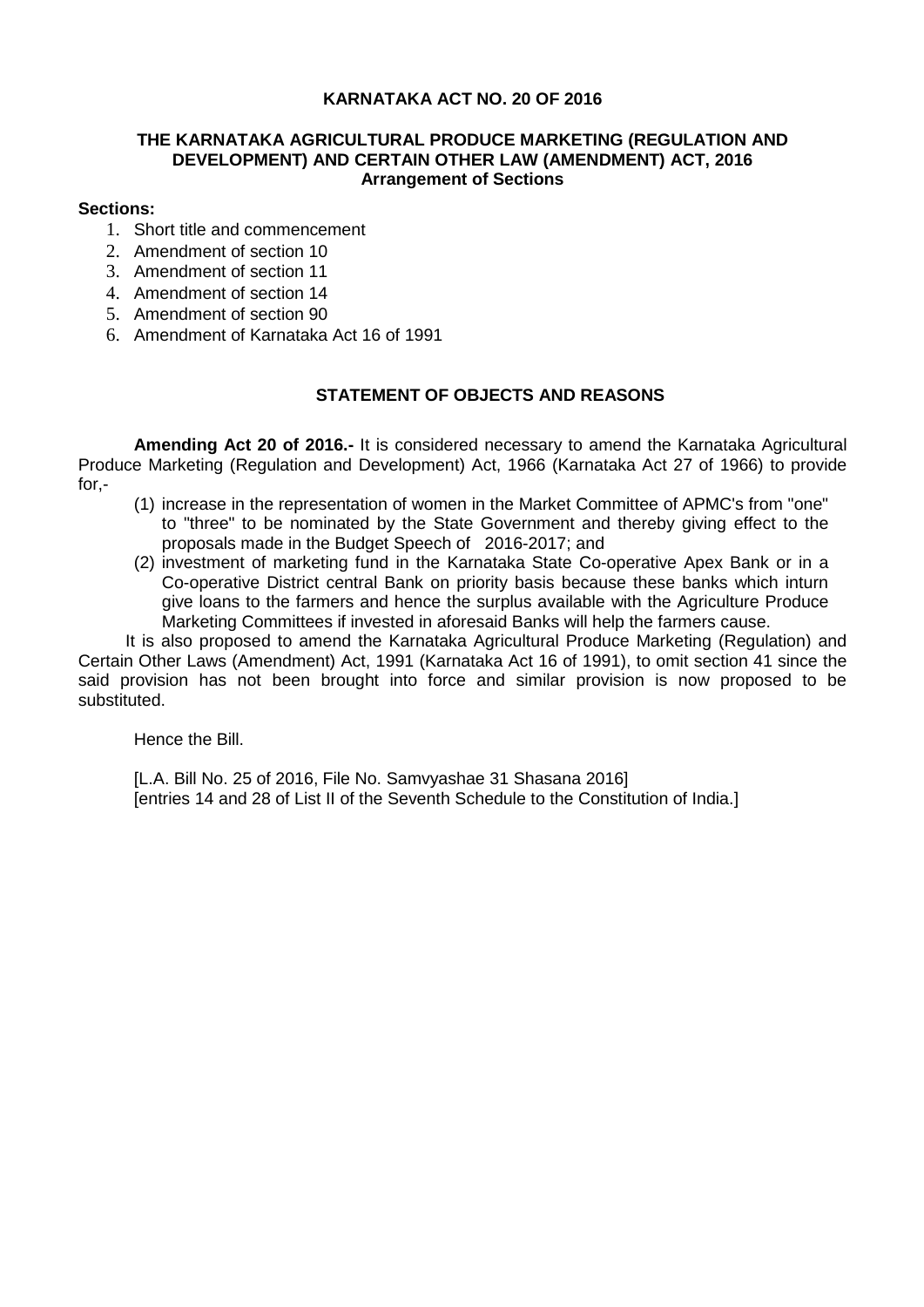## **KARNATAKA ACT NO. 20 OF 2016**

## **THE KARNATAKA AGRICULTURAL PRODUCE MARKETING (REGULATION AND DEVELOPMENT) AND CERTAIN OTHER LAW (AMENDMENT) ACT, 2016 Arrangement of Sections**

## **Sections:**

- 1. Short title and commencement
- 2. Amendment of section 10
- 3. Amendment of section 11
- 4. Amendment of section 14
- 5. Amendment of section 90
- 6. Amendment of Karnataka Act 16 of 1991

# **STATEMENT OF OBJECTS AND REASONS**

**Amending Act 20 of 2016.-** It is considered necessary to amend the Karnataka Agricultural Produce Marketing (Regulation and Development) Act, 1966 (Karnataka Act 27 of 1966) to provide for,-

- (1) increase in the representation of women in the Market Committee of APMC's from "one" to "three" to be nominated by the State Government and thereby giving effect to the proposals made in the Budget Speech of 2016-2017; and
- (2) investment of marketing fund in the Karnataka State Co-operative Apex Bank or in a Co-operative District central Bank on priority basis because these banks which inturn give loans to the farmers and hence the surplus available with the Agriculture Produce Marketing Committees if invested in aforesaid Banks will help the farmers cause.

 It is also proposed to amend the Karnataka Agricultural Produce Marketing (Regulation) and Certain Other Laws (Amendment) Act, 1991 (Karnataka Act 16 of 1991), to omit section 41 since the said provision has not been brought into force and similar provision is now proposed to be substituted.

Hence the Bill.

[L.A. Bill No. 25 of 2016, File No. Samvyashae 31 Shasana 2016] [entries 14 and 28 of List II of the Seventh Schedule to the Constitution of India.]